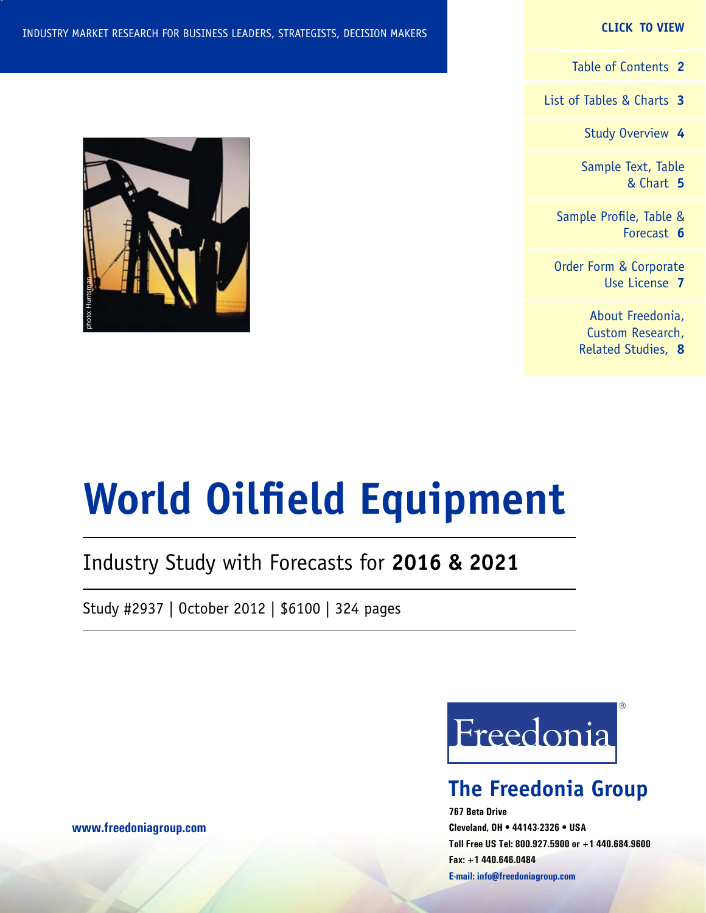#### **CLICK TO VIEW**

[Table of Contents](#page-1-0) **2**

[List of Tables & Charts](#page-2-0) **3**

[Study Overview](#page-3-0) **4**

[Sample Text, Table](#page-4-0) [& Chart](#page-4-0) **5**

[Sample Profile, Table &](#page-5-0) [Forecast](#page-5-0) **6**

[Order Form & Corporate](#page-6-0) [Use License](#page-6-0) **7**

> [About Freedonia,](#page-7-0) [Custom Research,](#page-7-0) [Related Studies,](#page-7-0) **8**



# **World Oilfield Equipment**

# Industry Study with Forecasts for **2016 & 2021**

Study #2937 | October 2012 | \$6100 | 324 pages



# **The Freedonia Group**

**767 Beta Drive Cleveland, OH • 44143-2326 • USA Toll Free US Tel: 800.927.5900 or +1 440.684.9600 Fax: +1 440.646.0484 E-mail: [info@freedoniagroup.com](mailto:info@freedoniagroup.com)**

**[www.freedoniagroup.com](http://www.freedoniagroup.com/Home.aspx?ReferrerId=FM-Bro)**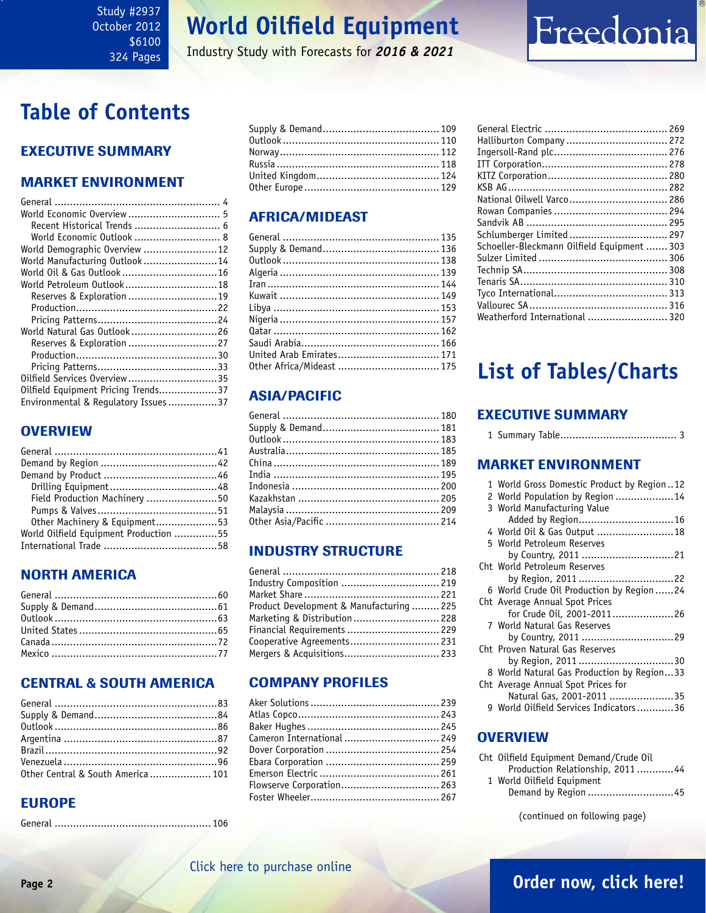#### <span id="page-1-0"></span>Study #2937 October 2012 \$6100 324 Pages

# **World Oilfield Equipment**

Industry Study with Forecasts for *2016 & 2021*

# **Table of Contents**

## Executive Summary

## Market EnvironmenT

| World Economic Overview  5          |  |
|-------------------------------------|--|
| Recent Historical Trends  6         |  |
| World Economic Outlook  8           |  |
| World Demographic Overview 12       |  |
| World Manufacturing Outlook 14      |  |
| World Oil & Gas Outlook16           |  |
| World Petroleum Outlook18           |  |
| Reserves & Exploration 19           |  |
|                                     |  |
|                                     |  |
| World Natural Gas Outlook 26        |  |
| Reserves & Exploration 27           |  |
|                                     |  |
|                                     |  |
| Oilfield Services Overview35        |  |
| Oilfield Equipment Pricing Trends37 |  |
| Environmental & Regulatory Issues37 |  |

## **OVERVIEW**

| Field Production Machinery 50          |  |
|----------------------------------------|--|
|                                        |  |
| Other Machinery & Equipment53          |  |
| World Oilfield Equipment Production 55 |  |
|                                        |  |

## NORTH AMERICA

## CENTRAL & SOUTH AMERICA

| Other Central & South America  101 |  |
|------------------------------------|--|

## EUROPE

|--|--|

## AFRICA/MIDEAST

| United Arab Emirates 171  |  |
|---------------------------|--|
| 0ther Africa/Mideast  175 |  |
|                           |  |

## ASIA/PACIFIC

## INDUSTRY STRUCTURE

| Industry Composition  219                |  |
|------------------------------------------|--|
|                                          |  |
| Product Development & Manufacturing  225 |  |
| Marketing & Distribution  228            |  |
| Financial Requirements  229              |  |
| Cooperative Agreements 231               |  |
| Mergers & Acquisitions 233               |  |

## Company Profiles

| Cameron International  249 |  |
|----------------------------|--|
|                            |  |
|                            |  |
|                            |  |
| Flowserve Corporation 263  |  |
|                            |  |
|                            |  |

| Halliburton Company  272                    |  |
|---------------------------------------------|--|
|                                             |  |
|                                             |  |
|                                             |  |
|                                             |  |
| National Oilwell Varco 286                  |  |
|                                             |  |
|                                             |  |
| Schlumberger Limited  297                   |  |
| Schoeller-Bleckmann Oilfield Equipment  303 |  |
|                                             |  |
|                                             |  |
|                                             |  |
|                                             |  |
|                                             |  |
| Weatherford International  320              |  |
|                                             |  |

# **List of Tables/Charts**

## Executive Summary

|--|--|--|--|

## Market EnvironmenT

| 1 World Gross Domestic Product by Region12 |
|--------------------------------------------|
| 2 World Population by Region 14            |
| 3 World Manufacturing Value                |
|                                            |
| 4 World Oil & Gas Output 18                |
| 5 World Petroleum Reserves                 |
| by Country, 2011 21                        |
| Cht World Petroleum Reserves               |
| by Region, 2011 22                         |
| 6 World Crude Oil Production by Region 24  |
| Cht Average Annual Spot Prices             |
| for Crude Oil, 2001-201126                 |
| 7 World Natural Gas Reserves               |
| by Country, 2011 29                        |
| Cht Proven Natural Gas Reserves            |
| by Region, 2011 30                         |
| 8 World Natural Gas Production by Region33 |
| Cht Average Annual Spot Prices for         |
| Natural Gas, 2001-2011 35                  |
| 9 World Oilfield Services Indicators36     |
|                                            |

## **OVERVIEW**

| Cht Oilfield Equipment Demand/Crude Oil |  |
|-----------------------------------------|--|
| Production Relationship, 201144         |  |
| 1 World Oilfield Equipment              |  |
| Demand by Region 45                     |  |
|                                         |  |

(continued on following page)

# **Page 2 [Order now, click here!](#page-6-0)**

# Freedonia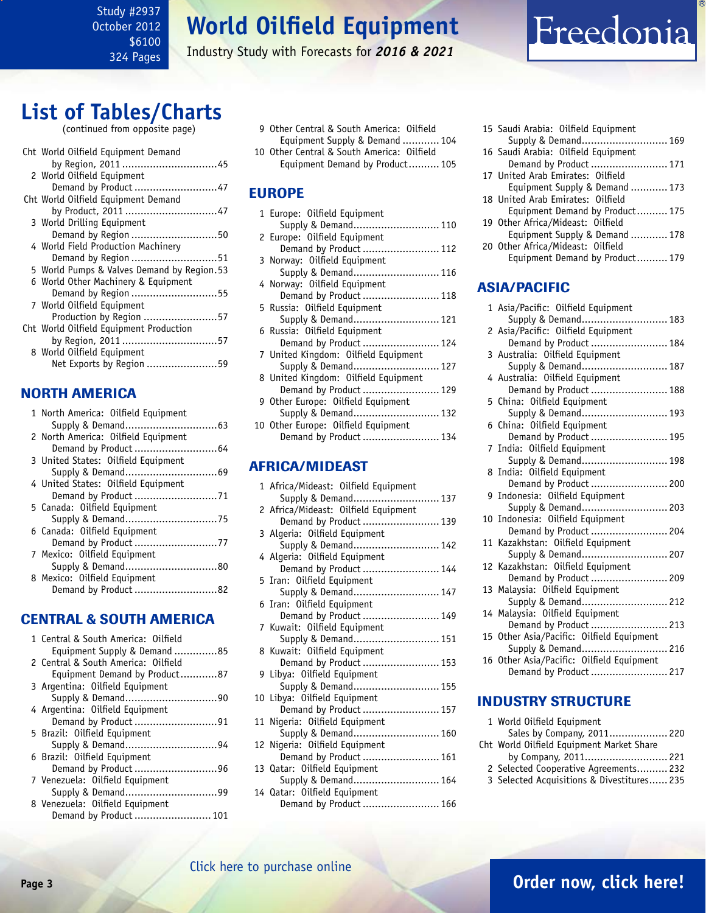<span id="page-2-0"></span>Study #2937 October 2012 \$6100 324 Pages

# **World Oilfield Equipment**

Industry Study with Forecasts for *2016 & 2021*

# Freedonia

# **List of Tables/Charts**

(continued from opposite page)

| Cht World Oilfield Equipment Demand        |
|--------------------------------------------|
|                                            |
| 2 World Oilfield Equipment                 |
| Demand by Product 47                       |
| Cht World Oilfield Equipment Demand        |
|                                            |
| 3 World Drilling Equipment                 |
| Demand by Region 50                        |
| 4 World Field Production Machinery         |
| Demand by Region 51                        |
| 5 World Pumps & Valves Demand by Region.53 |
| 6 World Other Machinery & Equipment        |
| Demand by Region 55                        |
| 7 World Oilfield Equipment                 |
| Production by Region 57                    |
| Cht World Oilfield Equipment Production    |
| by Region, 2011 57                         |
| 8 World Oilfield Equipment                 |
|                                            |
| Net Exports by Region 59                   |
|                                            |

## NORTH AMERICA

| 1 North America: Oilfield Equipment |
|-------------------------------------|
|                                     |
| 2 North America: Oilfield Equipment |
| Demand by Product  64               |
| 3 United States: Oilfield Equipment |
|                                     |
| 4 United States: Oilfield Equipment |
|                                     |
| 5 Canada: Oilfield Equipment        |
|                                     |
| 6 Canada: Oilfield Equipment        |
| Demand by Product 77                |
| 7 Mexico: Oilfield Equipment        |
|                                     |
| 8 Mexico: Oilfield Equipment        |
| Demand by Product 82                |
|                                     |

### CENTRAL & SOUTH AMERICA

| 1 Central & South America: Oilfield<br>Equipment Supply & Demand 85 |
|---------------------------------------------------------------------|
| 2 Central & South America: Oilfield                                 |
| Equipment Demand by Product87                                       |
| 3 Argentina: Oilfield Equipment                                     |
| Supply & Demand90                                                   |
| 4 Argentina: Oilfield Equipment                                     |
| Demand by Product 91                                                |
| 5 Brazil: Oilfield Equipment                                        |
|                                                                     |
| 6 Brazil: Oilfield Equipment                                        |
| Demand by Product 96                                                |
| 7 Venezuela: Oilfield Equipment                                     |
|                                                                     |
| 8 Venezuela: Oilfield Equipment                                     |
| Demand by Product  101                                              |

- 9 Other Central & South America: Oilfield Equipment Supply & Demand ............ 104 10 Other Central & South America: Oilfield
- Equipment Demand by Product.......... 105

## EUROPE

| 1 Europe: Oilfield Equipment         |  |  |  |
|--------------------------------------|--|--|--|
| Supply & Demand 110                  |  |  |  |
| 2 Europe: Oilfield Equipment         |  |  |  |
| Demand by Product  112               |  |  |  |
| 3 Norway: Oilfield Equipment         |  |  |  |
| Supply & Demand 116                  |  |  |  |
| 4 Norway: Oilfield Equipment         |  |  |  |
| Demand by Product  118               |  |  |  |
| 5 Russia: Oilfield Equipment         |  |  |  |
| Supply & Demand 121                  |  |  |  |
| 6 Russia: Oilfield Equipment         |  |  |  |
| Demand by Product  124               |  |  |  |
| 7 United Kingdom: Oilfield Equipment |  |  |  |
| Supply & Demand 127                  |  |  |  |
| 8 United Kingdom: Oilfield Equipment |  |  |  |
| Demand by Product  129               |  |  |  |
| 9 Other Europe: Oilfield Equipment   |  |  |  |
| Supply & Demand 132                  |  |  |  |
| 10 Other Europe: Oilfield Equipment  |  |  |  |
| Demand by Product  134               |  |  |  |

### AFRICA/MIDEAST

|  | 1 Africa/Mideast: Oilfield Equipment                |
|--|-----------------------------------------------------|
|  | Supply & Demand 137                                 |
|  | 2 Africa/Mideast: Oilfield Equipment                |
|  | Demand by Product  139                              |
|  | 3 Algeria: Oilfield Equipment                       |
|  | Supply & Demand 142                                 |
|  | 4 Algeria: Oilfield Equipment                       |
|  | Demand by Product  144                              |
|  | 5 Iran: Oilfield Equipment                          |
|  | Supply & Demand 147                                 |
|  | 6 Iran: Oilfield Equipment                          |
|  | Demand by Product  149                              |
|  | 7 Kuwait: Oilfield Equipment                        |
|  | Supply & Demand 151                                 |
|  | 8 Kuwait: Oilfield Equipment                        |
|  | Demand by Product  153                              |
|  | 9 Libya: Oilfield Equipment                         |
|  | Supply & Demand 155<br>10 Libya: Oilfield Equipment |
|  | Demand by Product  157                              |
|  | 11 Nigeria: Oilfield Equipment                      |
|  | Supply & Demand 160                                 |
|  | 12 Nigeria: Oilfield Equipment                      |
|  | Demand by Product  161                              |
|  | 13 Qatar: Oilfield Equipment                        |
|  | Supply & Demand 164                                 |
|  | 14 Qatar: Oilfield Equipment                        |
|  | Demand by Product  166                              |
|  |                                                     |

| 15 Saudi Arabia: Oilfield Equipment |
|-------------------------------------|
| Supply & Demand 169                 |
| 16 Saudi Arabia: Oilfield Equipment |
| Demand by Product  171              |
| 17 United Arab Emirates: Oilfield   |
| Equipment Supply & Demand  173      |
| 18 United Arab Emirates: Oilfield   |
| Equipment Demand by Product 175     |
| 19 Other Africa/Mideast: Oilfield   |
| Equipment Supply & Demand  178      |
| 20 Other Africa/Mideast: Oilfield   |
| Equipment Demand by Product 179     |

### ASIA/PACIFIC

| 1 Asia/Pacific: Oilfield Equipment        |
|-------------------------------------------|
| Supply & Demand 183                       |
| 2 Asia/Pacific: Oilfield Equipment        |
| Demand by Product  184                    |
| 3 Australia: Oilfield Equipment           |
| Supply & Demand 187                       |
| 4 Australia: Oilfield Equipment           |
| Demand by Product  188                    |
| 5 China: Oilfield Equipment               |
| Supply & Demand 193                       |
| 6 China: Oilfield Equipment               |
| Demand by Product  195                    |
| 7 India: Oilfield Equipment               |
| Supply & Demand 198                       |
| 8 India: Oilfield Equipment               |
| Demand by Product  200                    |
| 9 Indonesia: Oilfield Equipment           |
| Supply & Demand 203                       |
| 10 Indonesia: Oilfield Equipment          |
| Demand by Product  204                    |
| 11 Kazakhstan: Oilfield Equipment         |
| Supply & Demand 207                       |
| 12 Kazakhstan: Oilfield Equipment         |
| Demand by Product  209                    |
| 13 Malaysia: Oilfield Equipment           |
| Supply & Demand 212                       |
| 14 Malaysia: Oilfield Equipment           |
| Demand by Product  213                    |
| 15 Other Asia/Pacific: Oilfield Equipment |
| Supply & Demand 216                       |
| 16 Other Asia/Pacific: Oilfield Equipment |
| Demand by Product  217                    |

#### INDUSTRY STRUCTURE

|                                           | 1 World Oilfield Equipment                 |  |  |
|-------------------------------------------|--------------------------------------------|--|--|
|                                           | Sales by Company, 2011 220                 |  |  |
| Cht World Oilfield Equipment Market Share |                                            |  |  |
|                                           | by Company, 2011 221                       |  |  |
|                                           | 2 Selected Cooperative Agreements 232      |  |  |
|                                           | 3 Selected Acquisitions & Divestitures 235 |  |  |

## **Page 3 [Order now, click here!](#page-6-0)**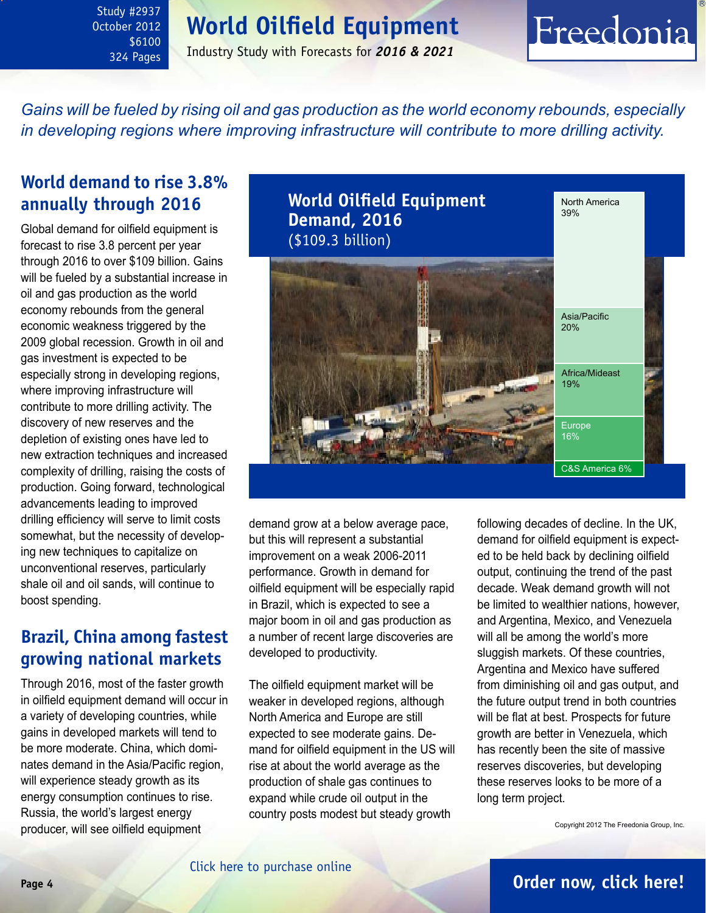# **World Oilfield Equipment**

<span id="page-3-0"></span>Study #2937 October 2012 \$6100 324 Pages

## Industry Study with Forecasts for *2016 & 2021*

# Freedonia

*Gains will be fueled by rising oil and gas production as the world economy rebounds, especially in developing regions where improving infrastructure will contribute to more drilling activity.* 

## **World demand to rise 3.8% annually through 2016**

Global demand for oilfield equipment is forecast to rise 3.8 percent per year through 2016 to over \$109 billion. Gains will be fueled by a substantial increase in oil and gas production as the world economy rebounds from the general economic weakness triggered by the 2009 global recession. Growth in oil and gas investment is expected to be especially strong in developing regions, where improving infrastructure will contribute to more drilling activity. The discovery of new reserves and the depletion of existing ones have led to new extraction techniques and increased complexity of drilling, raising the costs of production. Going forward, technological advancements leading to improved drilling efficiency will serve to limit costs somewhat, but the necessity of developing new techniques to capitalize on unconventional reserves, particularly shale oil and oil sands, will continue to boost spending.

## **Brazil, China among fastest growing national markets**

Through 2016, most of the faster growth in oilfield equipment demand will occur in a variety of developing countries, while gains in developed markets will tend to be more moderate. China, which dominates demand in the Asia/Pacific region, will experience steady growth as its energy consumption continues to rise. Russia, the world's largest energy producer, will see oilfield equipment



demand grow at a below average pace, but this will represent a substantial improvement on a weak 2006-2011 performance. Growth in demand for oilfield equipment will be especially rapid in Brazil, which is expected to see a major boom in oil and gas production as a number of recent large discoveries are developed to productivity.

The oilfield equipment market will be weaker in developed regions, although North America and Europe are still expected to see moderate gains. Demand for oilfield equipment in the US will rise at about the world average as the production of shale gas continues to expand while crude oil output in the country posts modest but steady growth

following decades of decline. In the UK, demand for oilfield equipment is expected to be held back by declining oilfield output, continuing the trend of the past decade. Weak demand growth will not be limited to wealthier nations, however, and Argentina, Mexico, and Venezuela will all be among the world's more sluggish markets. Of these countries, Argentina and Mexico have suffered from diminishing oil and gas output, and the future output trend in both countries will be flat at best. Prospects for future growth are better in Venezuela, which has recently been the site of massive reserves discoveries, but developing these reserves looks to be more of a long term project.

Copyright 2012 The Freedonia Group, Inc.

## **Page 4 [Order now, click here!](#page-6-0)**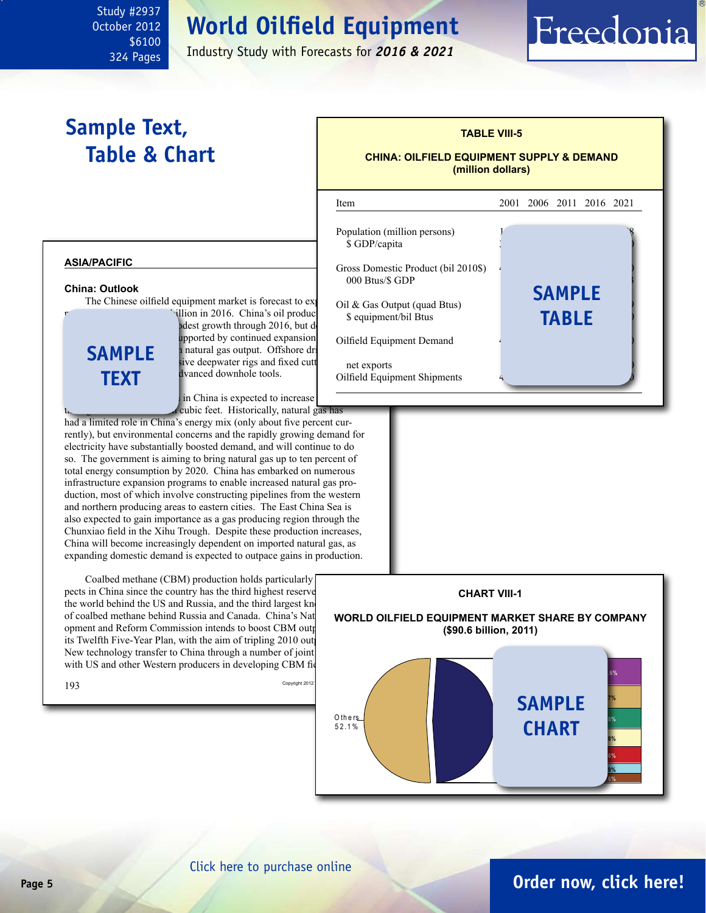# **World Oilfield Equipment**

l

Industry Study with Forecasts for *2016 & 2021*

# **Sample Text, Table & Chart**

<span id="page-4-0"></span>Study #2937 October 2012

> \$6100 324 Pages

# **TABLE VIII-5**

Freedonia

#### **CHINA: OILFIELD EQUIPMENT SUPPLY & DEMAND (million dollars)**

Item 2001 2006 2011 2016 2021

#### **asia/pacific China: Outlook** The Chinese oilfield equipment market is forecast to exjulion in 2016. China's oil production in 2016. dest growth through  $2016$ , but demand the pool and for upported by continued expansion a natural gas output. Offshore dr sive deepwater rigs and fixed cutt dvanced downhole tools. in China is expected to increase cubic feet. Historically, natural gas has had a limited role in China's energy mix (only about five percent currently), but environmental concerns and the rapidly growing demand for electricity have substantially boosted demand, and will continue to do so. The government is aiming to bring natural gas up to ten percent of total energy consumption by 2020. China has embarked on numerous infrastructure expansion programs to enable increased natural gas production, most of which involve constructing pipelines from the western and northern producing areas to eastern cities. The East China Sea is also expected to gain importance as a gas producing region through the Chunxiao field in the Xihu Trough. Despite these production increases, China will become increasingly dependent on imported natural gas, as expanding domestic demand is expected to outpace gains in production. Coalbed methane (CBM) production holds particularly pects in China since the country has the third highest reserve the world behind the US and Russia, and the third largest known of coalbed methane behind Russia and Canada. China's Nat opment and Reform Commission intends to boost CBM outp its Twelfth Five-Year Plan, with the aim of tripling 2010 out New technology transfer to China through a number of joint with US and other Western producers in developing CBM fields  $193$  Copyright 2012 **sample text** Population (million persons) \$ GDP/capita Gross Domestic Product (bil 2010\$)  $000$  Btus/ $$$  GDP Oil  $& Gas Output (quad But)$ \$ equipment/bil Btus Oilfield Equipment Demand net exports Oilfield Equipment Shipments **sample table CHART VIII-1 WORLD OILFIELD EQUIPMENT MARKET SHARE BY COMPANY (\$90.6 billion, 2011)** M a rke t **CHART** O th e rs 5 2 .1 % **3.6% 3.9% 6.6% 6.8% 7.8% 8.7% 10.6% sample**

#### [Click here to purchase online](http://www.freedoniagroup.com/DocumentDetails.aspx?Referrerid=FM-Bro&StudyID=2937)

## **Page 5 [Order now, click here!](#page-6-0)**

**Aker So lu t io n s C am ero n In t l B aker H u g h es H allib u rt o n W eath erfo rd In t l Sch lu m b erg er**

**N at l O ilwell Varco**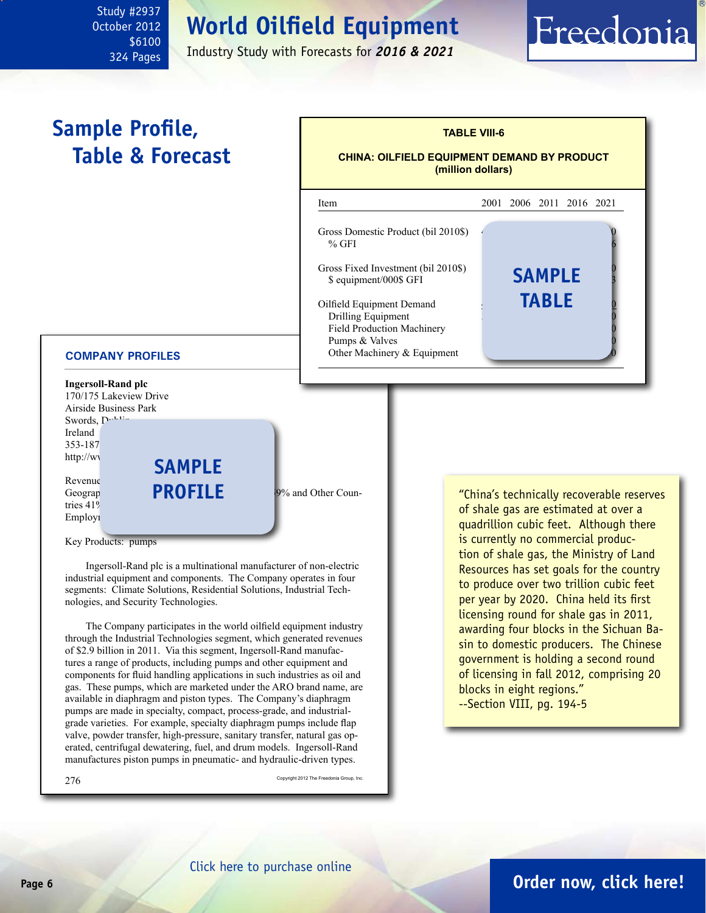# **World Oilfield Equipment**

Industry Study with Forecasts for *2016 & 2021*

# **Sample Profile, Table & Forecast**

<span id="page-5-0"></span>Study #2937 October 2012

> \$6100 324 Pages



Key Products: pumps

Ireland 353-187  $http://wv$ 

Revenue<br>Geograp

tries 41% Employi

 Ingersoll-Rand plc is a multinational manufacturer of non-electric industrial equipment and components. The Company operates in four segments: Climate Solutions, Residential Solutions, Industrial Technologies, and Security Technologies.

 The Company participates in the world oilfield equipment industry through the Industrial Technologies segment, which generated revenues of \$2.9 billion in 2011. Via this segment, Ingersoll-Rand manufactures a range of products, including pumps and other equipment and components for fluid handling applications in such industries as oil and gas. These pumps, which are marketed under the ARO brand name, are available in diaphragm and piston types. The Company's diaphragm pumps are made in specialty, compact, process-grade, and industrialgrade varieties. For example, specialty diaphragm pumps include flap valve, powder transfer, high-pressure, sanitary transfer, natural gas operated, centrifugal dewatering, fuel, and drum models. Ingersoll-Rand manufactures piston pumps in pneumatic- and hydraulic-driven types.

 $276$  Copyright 2012 The Freedonia Group, Inc.

of shale gas are estimated at over a quadrillion cubic feet. Although there is currently no commercial production of shale gas, the Ministry of Land Resources has set goals for the country to produce over two trillion cubic feet per year by 2020. China held its first licensing round for shale gas in 2011, awarding four blocks in the Sichuan Basin to domestic producers. The Chinese government is holding a second round of licensing in fall 2012, comprising 20 blocks in eight regions." --Section VIII, pg. 194-5

Freedonia

## **Page 6 [Order now, click here!](#page-6-0)**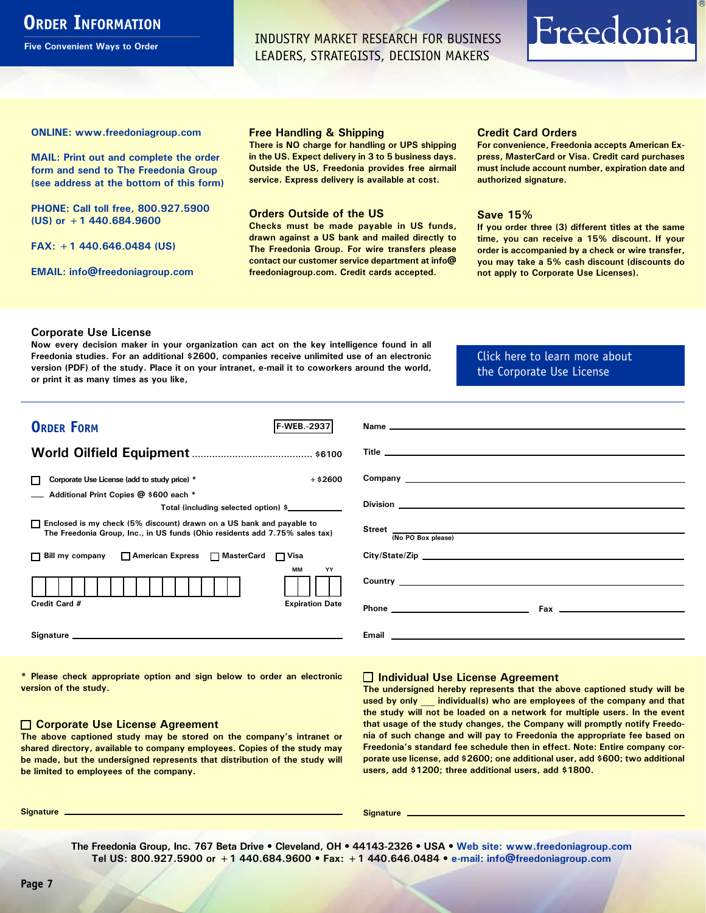# <span id="page-6-0"></span>**ORDER INFORMATION**

**Five Convenient Ways to Order**

INDUSTRY MARKET RESEARCH FOR BUSINESS LEADERS, STRATEGISTS, DECISION MAKERS

# Freedonia

**ONLINE: [www.freedoniagroup.com](http://www.freedoniagroup.com/DocumentDetails.aspx?Referrerid=FM-Bro&StudyID=2937)**

**MAIL: Print out and complete the order form and send to The Freedonia Group (see address at the bottom of this form)**

**PHONE: Call toll free, 800.927.5900 (US) or +1 440.684.9600**

**FAX: +1 440.646.0484 (US)**

**EMAIL: [info@freedoniagroup.com](mailto:info@freedoniagroup.com)**

#### **Free Handling & Shipping**

**There is NO charge for handling or UPS shipping in the US. Expect delivery in 3 to 5 business days. Outside the US, Freedonia provides free airmail service. Express delivery is available at cost.**

#### **Orders Outside of the US**

**Checks must be made payable in US funds, drawn against a US bank and mailed directly to The Freedonia Group. For wire transfers please contact our customer service department at info@ freedoniagroup.com. Credit cards accepted.**

#### **Credit Card Orders**

**For convenience, Freedonia accepts American Express, MasterCard or Visa. Credit card purchases must include account number, expiration date and authorized signature.**

#### **Save 15%**

**If you order three (3) different titles at the same time, you can receive a 15% discount. If your order is accompanied by a check or wire transfer, you may take a 5% cash discount (discounts do not apply to Corporate Use Licenses).**

#### **Corporate Use License**

**Now every decision maker in your organization can act on the key intelligence found in all Freedonia studies. For an additional \$2600, companies receive unlimited use of an electronic version (PDF) of the study. Place it on your intranet, e-mail it to coworkers around the world, or print it as many times as you like,** 

### [Click here to learn more about](http://www.freedoniagroup.com/pdf/FreedoniaCULBro.pdf)  [the Corporate Use License](http://www.freedoniagroup.com/pdf/FreedoniaCULBro.pdf)

| <b>ORDER FORM</b><br><b>F-WEB.</b> 2937                                                                                                               |                                                                                                                                                                                                                                     |
|-------------------------------------------------------------------------------------------------------------------------------------------------------|-------------------------------------------------------------------------------------------------------------------------------------------------------------------------------------------------------------------------------------|
|                                                                                                                                                       |                                                                                                                                                                                                                                     |
|                                                                                                                                                       |                                                                                                                                                                                                                                     |
| $+$ \$2600<br>Corporate Use License (add to study price) *                                                                                            |                                                                                                                                                                                                                                     |
| Additional Print Copies @ \$600 each *                                                                                                                |                                                                                                                                                                                                                                     |
| Total (including selected option) \$____________                                                                                                      |                                                                                                                                                                                                                                     |
| □ Enclosed is my check (5% discount) drawn on a US bank and payable to<br>The Freedonia Group, Inc., in US funds (Ohio residents add 7.75% sales tax) | Street  Mo PO Box please)                                                                                                                                                                                                           |
|                                                                                                                                                       |                                                                                                                                                                                                                                     |
| □ Bill my company □ American Express □ MasterCard □ Visa                                                                                              |                                                                                                                                                                                                                                     |
| MМ<br>YY                                                                                                                                              | Country <u>example</u> and the control of the control of the control of the control of the control of the control of the control of the control of the control of the control of the control of the control of the control of the c |
| Credit Card #<br><b>Expiration Date</b>                                                                                                               | $\mathsf{Fax}$ . The contract of the contract of the contract of the contract of the contract of the contract of the contract of the contract of the contract of the contract of the contract of the contract of the contract of t  |
|                                                                                                                                                       |                                                                                                                                                                                                                                     |

**\* Please check appropriate option and sign below to order an electronic version of the study.**

#### **Corporate Use License Agreement**

**The above captioned study may be stored on the company's intranet or shared directory, available to company employees. Copies of the study may be made, but the undersigned represents that distribution of the study will be limited to employees of the company.**

#### **Individual Use License Agreement**

**The undersigned hereby represents that the above captioned study will be used by only \_\_\_ individual(s) who are employees of the company and that the study will not be loaded on a network for multiple users. In the event that usage of the study changes, the Company will promptly notify Freedonia of such change and will pay to Freedonia the appropriate fee based on Freedonia's standard fee schedule then in effect. Note: Entire company corporate use license, add \$2600; one additional user, add \$600; two additional users, add \$1200; three additional users, add \$1800.**

**Signature Signature**

**The Freedonia Group, Inc. 767 Beta Drive • Cleveland, OH • 44143-2326 • USA • [Web site: www.freedoniagroup.com](http://www.freedoniagroup.com/Home.aspx?ReferrerId=FM-Bro) Tel US: 800.927.5900 or +1 440.684.9600 • Fax: +1 440.646.0484 • [e-mail: info@freedoniagroup.com](mailto:info@freedoniagroup.com)**